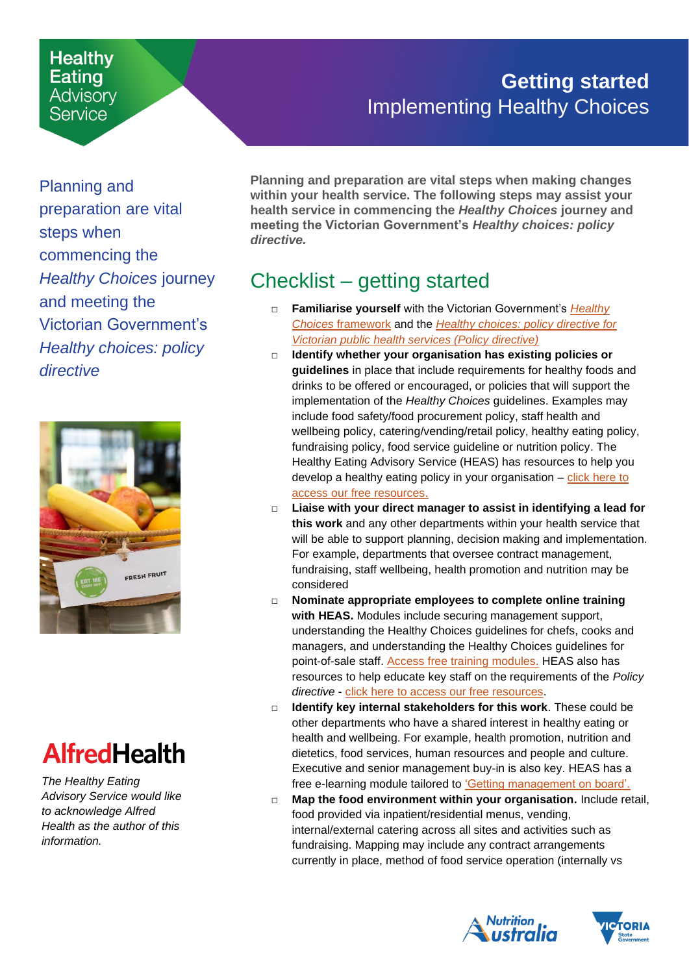#### **Healthy** Eating **Advisory** Service

### **Getting started** Implementing Healthy Choices

Planning and preparation are vital steps when commencing the *Healthy Choices* journey and meeting the Victorian Government's *Healthy choices: policy directive*



# **AlfredHealth**

*The Healthy Eating Advisory Service would like to acknowledge Alfred Health as the author of this information.*

<span id="page-0-0"></span>**Planning and preparation are vital steps when making changes within your health service. The following steps may assist your health service in commencing the** *Healthy Choices* **journey and meeting the Victorian Government's** *Healthy choices: policy directive.*

## Checklist – getting started

- □ **Familiarise yourself** with the Victorian Government's *[Healthy](https://www2.health.vic.gov.au/public-health/preventive-health/nutrition/healthy-choices-for-retail-outlets-vending-machines-catering)  Choices* [framework](https://www2.health.vic.gov.au/public-health/preventive-health/nutrition/healthy-choices-for-retail-outlets-vending-machines-catering) and the *[Healthy choices: policy directive for](file:///C:/Users/Amy%20Wakem/AppData/Local/Microsoft/Windows/INetCache/Content.Outlook/YRISTAZW/•%09https:/www2.health.vic.gov.au/public-health/preventive-health/nutrition/healthy-choices-for-retail-outlets-vending-machines-catering)  [Victorian public health services \(Policy directive\)](file:///C:/Users/Amy%20Wakem/AppData/Local/Microsoft/Windows/INetCache/Content.Outlook/YRISTAZW/•%09https:/www2.health.vic.gov.au/public-health/preventive-health/nutrition/healthy-choices-for-retail-outlets-vending-machines-catering)*
- □ **Identify whether your organisation has existing policies or guidelines** in place that include requirements for healthy foods and drinks to be offered or encouraged, or policies that will support the implementation of the *Healthy Choices* guidelines. Examples may include food safety/food procurement policy, staff health and wellbeing policy, catering/vending/retail policy, healthy eating policy, fundraising policy, food service guideline or nutrition policy. The Healthy Eating Advisory Service (HEAS) has resources to help you develop a healthy eating policy in your organisation – [click here to](https://heas.health.vic.gov.au/healthy-choices/organisational-policy-and-supplier-contracts)  access [our free resources.](https://heas.health.vic.gov.au/healthy-choices/organisational-policy-and-supplier-contracts)
- □ **Liaise with your direct manager to assist in identifying a lead for this work** and any other departments within your health service that will be able to support planning, decision making and implementation. For example, departments that oversee contract management, fundraising, staff wellbeing, health promotion and nutrition may be considered
- □ **Nominate appropriate employees to complete online training with HEAS.** Modules include securing management support, understanding the Healthy Choices guidelines for chefs, cooks and managers, and understanding the Healthy Choices guidelines for point-of-sale staff. Access free [training modules.](https://heas.health.vic.gov.au/training/healthy-choices) HEAS also has resources to help educate key staff on the requirements of the *Policy directive* - [click here to access our free resources.](https://heas.health.vic.gov.au/healthy-choices-policy-directive-victorian-public-health-services)
- □ **Identify key internal stakeholders for this work**. These could be other departments who have a shared interest in healthy eating or health and wellbeing. For example, health promotion, nutrition and dietetics, food services, human resources and people and culture. Executive and senior management buy-in is also key. HEAS has a free e-learning module tailored to ['Getting management on board'.](https://heas.health.vic.gov.au/training/healthy-choices)
- □ **Map the food environment within your organisation.** Include retail, food provided via inpatient/residential menus, vending, internal/external catering across all sites and activities such as fundraising. Mapping may include any contract arrangements currently in place, method of food service operation (internally vs